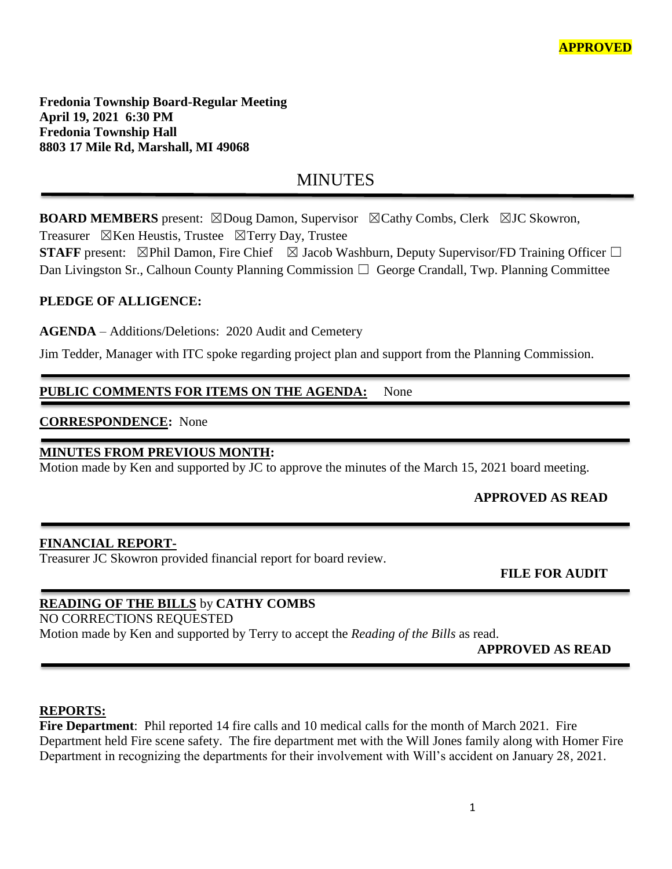**Fredonia Township Board-Regular Meeting April 19, 2021 6:30 PM Fredonia Township Hall 8803 17 Mile Rd, Marshall, MI 49068**

# **MINUTES**

**BOARD MEMBERS** present: ⊠Doug Damon, Supervisor ⊠Cathy Combs, Clerk ⊠JC Skowron, Treasurer  $\boxtimes$ Ken Heustis, Trustee  $\boxtimes$ Terry Day, Trustee

**STAFF** present: ⊠Phil Damon, Fire Chief ⊠ Jacob Washburn, Deputy Supervisor/FD Training Officer □ Dan Livingston Sr., Calhoun County Planning Commission  $\Box$  George Crandall, Twp. Planning Committee

## **PLEDGE OF ALLIGENCE:**

**AGENDA** – Additions/Deletions: 2020 Audit and Cemetery

Jim Tedder, Manager with ITC spoke regarding project plan and support from the Planning Commission.

## **PUBLIC COMMENTS FOR ITEMS ON THE AGENDA:** None

### **CORRESPONDENCE:** None

### **MINUTES FROM PREVIOUS MONTH:**

Motion made by Ken and supported by JC to approve the minutes of the March 15, 2021 board meeting.

## **APPROVED AS READ**

#### **FINANCIAL REPORT-**

Treasurer JC Skowron provided financial report for board review.

 **FILE FOR AUDIT** 

## **READING OF THE BILLS** by **CATHY COMBS**

NO CORRECTIONS REQUESTED

Motion made by Ken and supported by Terry to accept the *Reading of the Bills* as read.

**APPROVED AS READ**

#### **REPORTS:**

**Fire Department**: Phil reported 14 fire calls and 10 medical calls for the month of March 2021. Fire Department held Fire scene safety. The fire department met with the Will Jones family along with Homer Fire Department in recognizing the departments for their involvement with Will's accident on January 28, 2021.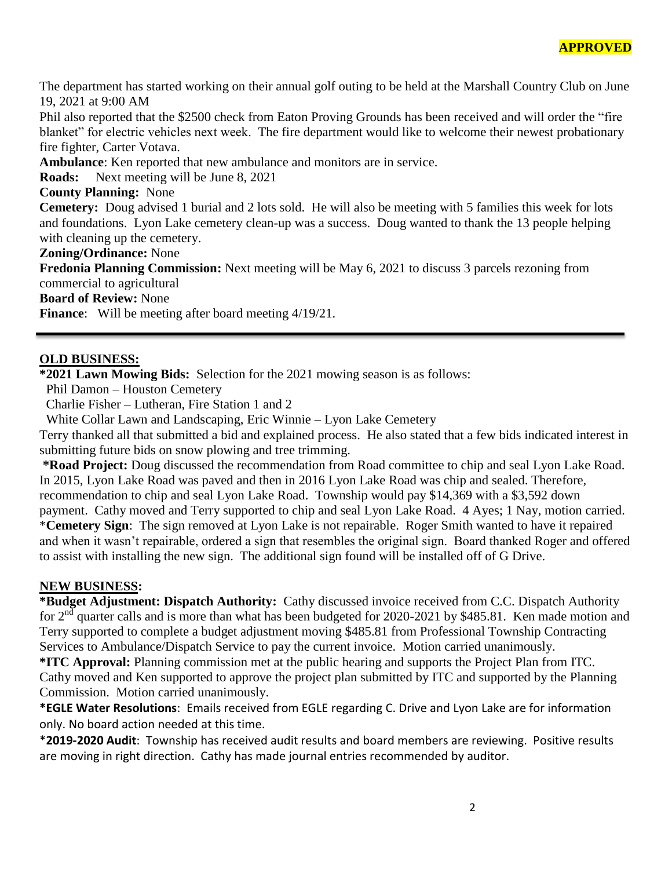The department has started working on their annual golf outing to be held at the Marshall Country Club on June 19, 2021 at 9:00 AM

Phil also reported that the \$2500 check from Eaton Proving Grounds has been received and will order the "fire blanket" for electric vehicles next week. The fire department would like to welcome their newest probationary fire fighter, Carter Votava.

**Ambulance**: Ken reported that new ambulance and monitors are in service.

**Roads:** Next meeting will be June 8, 2021

#### **County Planning:** None

**Cemetery:** Doug advised 1 burial and 2 lots sold. He will also be meeting with 5 families this week for lots and foundations. Lyon Lake cemetery clean-up was a success. Doug wanted to thank the 13 people helping with cleaning up the cemetery.

**Zoning/Ordinance:** None

**Fredonia Planning Commission:** Next meeting will be May 6, 2021 to discuss 3 parcels rezoning from commercial to agricultural

**Board of Review:** None

**Finance:** Will be meeting after board meeting  $4/19/21$ .

#### **OLD BUSINESS:**

**\*2021 Lawn Mowing Bids:** Selection for the 2021 mowing season is as follows:

Phil Damon – Houston Cemetery

Charlie Fisher – Lutheran, Fire Station 1 and 2

White Collar Lawn and Landscaping, Eric Winnie – Lyon Lake Cemetery

Terry thanked all that submitted a bid and explained process. He also stated that a few bids indicated interest in submitting future bids on snow plowing and tree trimming.

**\*Road Project:** Doug discussed the recommendation from Road committee to chip and seal Lyon Lake Road. In 2015, Lyon Lake Road was paved and then in 2016 Lyon Lake Road was chip and sealed. Therefore, recommendation to chip and seal Lyon Lake Road. Township would pay \$14,369 with a \$3,592 down payment. Cathy moved and Terry supported to chip and seal Lyon Lake Road. 4 Ayes; 1 Nay, motion carried. \***Cemetery Sign**: The sign removed at Lyon Lake is not repairable. Roger Smith wanted to have it repaired and when it wasn't repairable, ordered a sign that resembles the original sign. Board thanked Roger and offered to assist with installing the new sign. The additional sign found will be installed off of G Drive.

#### **NEW BUSINESS:**

**\*Budget Adjustment: Dispatch Authority:** Cathy discussed invoice received from C.C. Dispatch Authority for 2<sup>nd</sup> quarter calls and is more than what has been budgeted for 2020-2021 by \$485.81. Ken made motion and Terry supported to complete a budget adjustment moving \$485.81 from Professional Township Contracting Services to Ambulance/Dispatch Service to pay the current invoice. Motion carried unanimously.

**\*ITC Approval:** Planning commission met at the public hearing and supports the Project Plan from ITC. Cathy moved and Ken supported to approve the project plan submitted by ITC and supported by the Planning Commission. Motion carried unanimously.

**\*EGLE Water Resolutions**: Emails received from EGLE regarding C. Drive and Lyon Lake are for information only. No board action needed at this time.

\***2019-2020 Audit**: Township has received audit results and board members are reviewing. Positive results are moving in right direction. Cathy has made journal entries recommended by auditor.